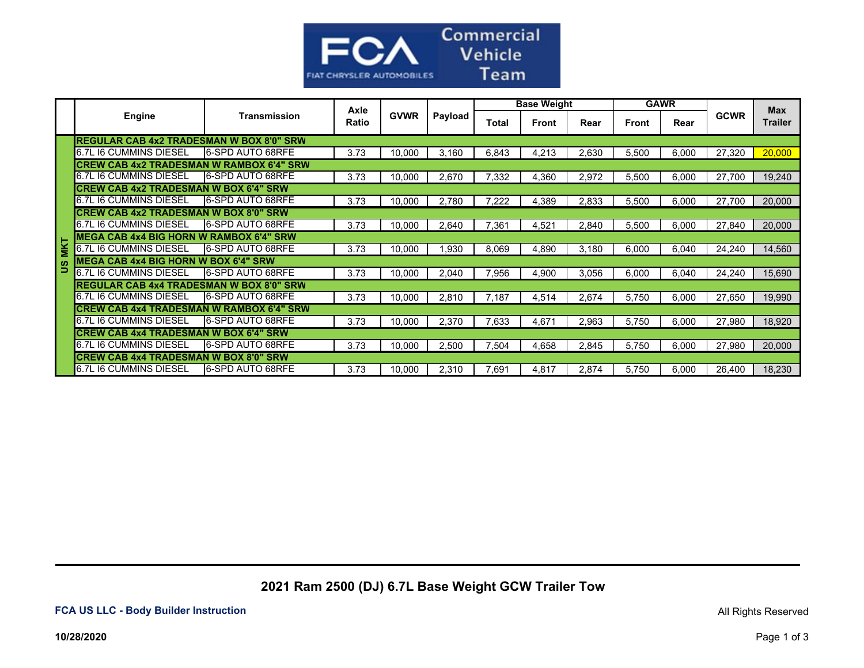

|            | Engine                                           | Transmission             | Axle<br>Ratio | <b>GVWR</b> | Payload | <b>Base Weight</b> |              |       | <b>GAWR</b>  |       |             | <b>Max</b>     |
|------------|--------------------------------------------------|--------------------------|---------------|-------------|---------|--------------------|--------------|-------|--------------|-------|-------------|----------------|
|            |                                                  |                          |               |             |         | Total              | <b>Front</b> | Rear  | <b>Front</b> | Rear  | <b>GCWR</b> | <b>Trailer</b> |
|            | <b>REGULAR CAB 4x2 TRADESMAN W BOX 8'0" SRW</b>  |                          |               |             |         |                    |              |       |              |       |             |                |
|            | 6.7L I6 CUMMINS DIESEL                           | <b>16-SPD AUTO 68RFE</b> | 3.73          | 10,000      | 3.160   | 6,843              | 4,213        | 2,630 | 5,500        | 6,000 | 27,320      | 20,000         |
|            | <b>CREW CAB 4x2 TRADESMAN W RAMBOX 6'4" SRW</b>  |                          |               |             |         |                    |              |       |              |       |             |                |
|            | 6.7L I6 CUMMINS DIESEL                           | <b>16-SPD AUTO 68RFE</b> | 3.73          | 10,000      | 2,670   | 7,332              | 4,360        | 2,972 | 5,500        | 6.000 | 27,700      | 19,240         |
|            | <b>CREW CAB 4x2 TRADESMAN W BOX 6'4" SRW</b>     |                          |               |             |         |                    |              |       |              |       |             |                |
|            | 6.7L I6 CUMMINS DIESEL                           | <b>6-SPD AUTO 68RFE</b>  | 3.73          | 10,000      | 2,780   | 7,222              | 4,389        | 2,833 | 5,500        | 6.000 | 27,700      | 20,000         |
|            | <b>CREW CAB 4x2 TRADESMAN W BOX 8'0" SRW</b>     |                          |               |             |         |                    |              |       |              |       |             |                |
|            | 6.7L I6 CUMMINS DIESEL                           | <b>6-SPD AUTO 68RFE</b>  | 3.73          | 10,000      | 2,640   | 7,361              | 4,521        | 2,840 | 5,500        | 6.000 | 27,840      | 20,000         |
|            | <b>IMEGA CAB 4x4 BIG HORN W RAMBOX 6'4" SRW</b>  |                          |               |             |         |                    |              |       |              |       |             |                |
| <b>MKT</b> | 6.7L I6 CUMMINS DIESEL                           | <b>6-SPD AUTO 68RFE</b>  | 3.73          | 10,000      | .930    | 8,069              | 4,890        | 3,180 | 6,000        | 6,040 | 24,240      | 14,560         |
|            | MEGA CAB 4x4 BIG HORN W BOX 6'4" SRW             |                          |               |             |         |                    |              |       |              |       |             |                |
| ∍          | <b>I</b> 6.7L I6 CUMMINS DIESEL                  | <b>16-SPD AUTO 68RFE</b> | 3.73          | 10,000      | 2,040   | 7,956              | 4,900        | 3,056 | 6,000        | 6.040 | 24,240      | 15,690         |
|            | <b>IREGULAR CAB 4x4 TRADESMAN W BOX 8'0" SRW</b> |                          |               |             |         |                    |              |       |              |       |             |                |
|            | <b>I</b> 6.7L I6 CUMMINS DIESEL                  | <b>16-SPD AUTO 68RFE</b> | 3.73          | 10,000      | 2,810   | 7.187              | 4,514        | 2,674 | 5,750        | 6.000 | 27,650      | 19,990         |
|            | <b>CREW CAB 4x4 TRADESMAN W RAMBOX 6'4" SRW</b>  |                          |               |             |         |                    |              |       |              |       |             |                |
|            | 6.7L I6 CUMMINS DIESEL                           | 6-SPD AUTO 68RFE         | 3.73          | 10.000      | 2.370   | 7,633              | 4,671        | 2,963 | 5.750        | 6.000 | 27,980      | 18,920         |
|            | <b>ICREW CAB 4x4 TRADESMAN W BOX 6'4" SRW</b>    |                          |               |             |         |                    |              |       |              |       |             |                |
|            | 6.7L I6 CUMMINS DIESEL                           | <b>I6-SPD AUTO 68RFE</b> | 3.73          | 10,000      | 2,500   | 7,504              | 4,658        | 2,845 | 5,750        | 6,000 | 27,980      | 20,000         |
|            | ICREW CAB 4x4 TRADESMAN W BOX 8'0" SRW           |                          |               |             |         |                    |              |       |              |       |             |                |
|            | <b>I</b> 6.7L I6 CUMMINS DIESEL                  | <b>16-SPD AUTO 68RFE</b> | 3.73          | 10,000      | 2,310   | 7,691              | 4,817        | 2,874 | 5.750        | 6,000 | 26,400      | 18,230         |

## **2021 Ram 2500 (DJ) 6.7L Base Weight GCW Trailer Tow**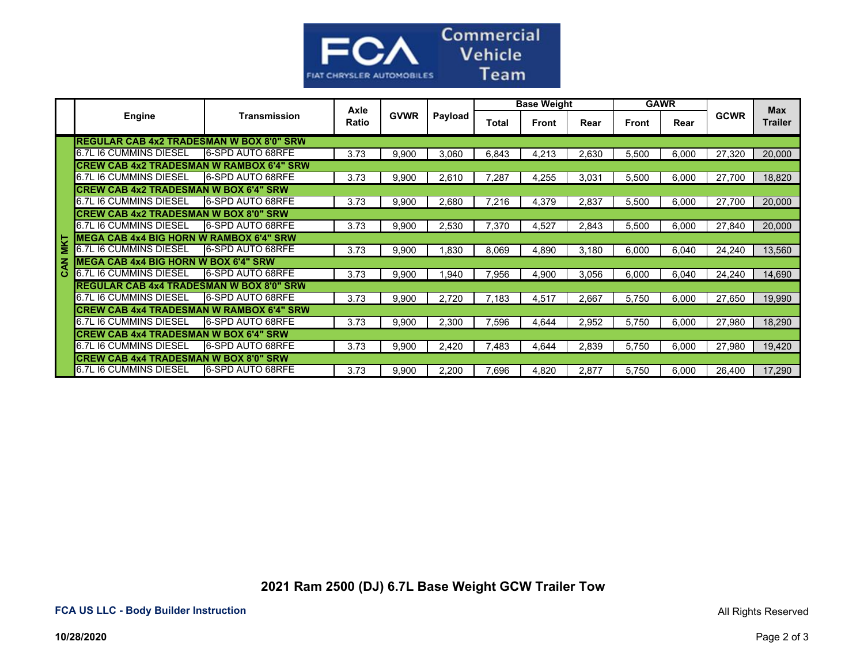

|            | <b>Engine</b>                                    | Transmission             | Axle<br>Ratio | <b>GVWR</b> | Payload | <b>Base Weight</b> |              |       | <b>GAWR</b> |       |             | <b>Max</b>     |
|------------|--------------------------------------------------|--------------------------|---------------|-------------|---------|--------------------|--------------|-------|-------------|-------|-------------|----------------|
|            |                                                  |                          |               |             |         | Total              | <b>Front</b> | Rear  | Front       | Rear  | <b>GCWR</b> | <b>Trailer</b> |
|            | <b>REGULAR CAB 4x2 TRADESMAN W BOX 8'0" SRW</b>  |                          |               |             |         |                    |              |       |             |       |             |                |
|            | 6.7L I6 CUMMINS DIESEL                           | <b>16-SPD AUTO 68RFE</b> | 3.73          | 9,900       | 3,060   | 6,843              | 4,213        | 2,630 | 5,500       | 6,000 | 27,320      | 20,000         |
|            | <b>CREW CAB 4x2 TRADESMAN W RAMBOX 6'4" SRW</b>  |                          |               |             |         |                    |              |       |             |       |             |                |
|            | 6.7L I6 CUMMINS DIESEL                           | 6-SPD AUTO 68RFE         | 3.73          | 9,900       | 2,610   | 7,287              | 4,255        | 3.031 | 5,500       | 6,000 | 27,700      | 18,820         |
|            | <b>CREW CAB 4x2 TRADESMAN W BOX 6'4" SRW</b>     |                          |               |             |         |                    |              |       |             |       |             |                |
|            | 6.7L I6 CUMMINS DIESEL                           | <b>6-SPD AUTO 68RFE</b>  | 3.73          | 9,900       | 2,680   | 7,216              | 4,379        | 2,837 | 5,500       | 6,000 | 27,700      | 20,000         |
|            | <b>ICREW CAB 4x2 TRADESMAN W BOX 8'0" SRW</b>    |                          |               |             |         |                    |              |       |             |       |             |                |
|            | 6.7L I6 CUMMINS DIESEL                           | <b>16-SPD AUTO 68RFE</b> | 3.73          | 9,900       | 2,530   | 7,370              | 4,527        | 2,843 | 5,500       | 6,000 | 27,840      | 20,000         |
| <b>MKT</b> | <b>IMEGA CAB 4x4 BIG HORN W RAMBOX 6'4" SRW</b>  |                          |               |             |         |                    |              |       |             |       |             |                |
|            | 6.7L I6 CUMMINS DIESEL                           | 6-SPD AUTO 68RFE         | 3.73          | 9,900       | .830    | 8,069              | 4,890        | 3.180 | 6,000       | 6,040 | 24,240      | 13,560         |
| z          | <b>MEGA CAB 4x4 BIG HORN W BOX 6'4" SRW</b>      |                          |               |             |         |                    |              |       |             |       |             |                |
| ठ<br>      | 6.7L I6 CUMMINS DIESEL                           | <b>16-SPD AUTO 68RFE</b> | 3.73          | 9,900       | 0.940   | 7,956              | 4,900        | 3,056 | 6,000       | 6,040 | 24,240      | 14,690         |
|            | <b>IREGULAR CAB 4x4 TRADESMAN W BOX 8'0" SRW</b> |                          |               |             |         |                    |              |       |             |       |             |                |
|            | 6.7L I6 CUMMINS DIESEL                           | <b>6-SPD AUTO 68RFE</b>  | 3.73          | 9,900       | 2.720   | 7.183              | 4,517        | 2,667 | 5.750       | 6,000 | 27,650      | 19,990         |
|            | <b>CREW CAB 4x4 TRADESMAN W RAMBOX 6'4" SRW</b>  |                          |               |             |         |                    |              |       |             |       |             |                |
|            | 6.7L I6 CUMMINS DIESEL                           | <b>6-SPD AUTO 68RFE</b>  | 3.73          | 9,900       | 2,300   | 7,596              | 4,644        | 2,952 | 5,750       | 6,000 | 27,980      | 18,290         |
|            | <b>CREW CAB 4x4 TRADESMAN W BOX 6'4" SRW</b>     |                          |               |             |         |                    |              |       |             |       |             |                |
|            | <b>1</b> 6.7L I6 CUMMINS DIESEL                  | <b>6-SPD AUTO 68RFE</b>  | 3.73          | 9,900       | 2.420   | 7,483              | 4,644        | 2,839 | 5,750       | 6,000 | 27,980      | 19,420         |
|            | <b>CREW CAB 4x4 TRADESMAN W BOX 8'0" SRW</b>     |                          |               |             |         |                    |              |       |             |       |             |                |
|            | <b>6.7L I6 CUMMINS DIESEL</b>                    | <b>16-SPD AUTO 68RFE</b> | 3.73          | 9,900       | 2.200   | 7,696              | 4,820        | 2.877 | 5.750       | 6.000 | 26.400      | 17.290         |

 **2021 Ram 2500 (DJ) 6.7L Base Weight GCW Trailer Tow**